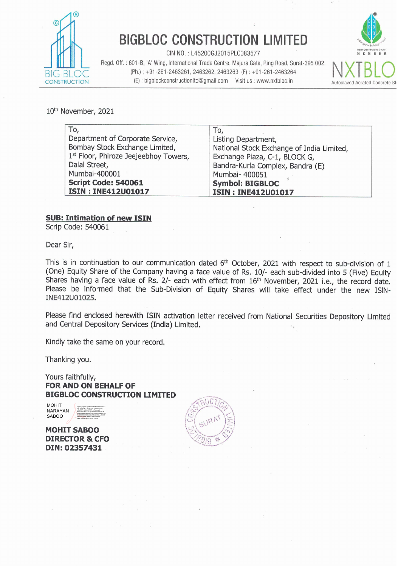

# **BIGBLOC CONSTRUCTION LIMITED**

CIN NO.: L45200GJ2015PLC083577 Regd. Off. : 601 **-8, 'A'** Wing, International Trade Centre, Majura Gate, Ring Road, Surat-395 002. BIG BLOC (Ph.) : +91-261-2463261, 2463262, 2463263 (F) : +91-261-2463264<br>
CONSTRUCTION (E) : bigblockconstructionItd@gmail.com Visit us : www.nxtbloc.in  $(E)$ : bigblockconstructionItd@gmail.com Visit us : www.nxtbloc.in



10<sup>th</sup> November, 2021

| To,                                   |                                           |
|---------------------------------------|-------------------------------------------|
|                                       | To,                                       |
| Department of Corporate Service,      | Listing Department,                       |
| Bombay Stock Exchange Limited,        | National Stock Exchange of India Limited, |
| 1st Floor, Phiroze Jeejeebhoy Towers, | Exchange Plaza, C-1, BLOCK G,             |
| Dalal Street,                         | Bandra-Kurla Complex, Bandra (E)          |
| Mumbai-400001                         | Mumbai- 400051                            |
| Script Code: 540061                   | <b>Symbol: BIGBLOC</b>                    |
| <b>ISIN: INE412U01017</b>             | <b>ISIN: INE412U01017</b>                 |

#### **SUB: Intimation of new ISIN**

Scrip Code: 540061

Dear Sir,

This is in continuation to our communication dated 6<sup>th</sup> October, 2021 with respect to sub-division of 1 (One) Equity Share of the Company having a face value of Rs. 10/- each sub-divided into 5 (Five) Equity Shares having a face value of Rs. 2/- each with effect from 16<sup>th</sup> November, 2021 i.e., the record date. Please be informed that the Sub-Division of Equity Shares will take effect under the new ISIN-INE412U01025.

Please find enclosed herewith ISIN activation letter received from National Securities Depository Limited and Central Depository Services (India) Limited.

Kindly take the same on your record.

Thanking you.

Yours faithfully, **FOR AND ON BEHALF OF BIGBLOC CONSTRUCTION LIMITED** 

**MOHIT** NARAYAN SABOO

Digitally signed by MOHIT NARAYAN SABOO DN: cn=MOHIT NARAYAN SABOO, c=IN, l=SURAT, st=GUJARAT, o=Personal, email=BMOPS0615J@VIMALINFOTECH.IN, serialNumber=ec86d142d618c56c0b0e155295 00098d28082923a6b48a76ef1e35daec8c063f Reason: i have certified this document Date: 2021.11.10 12:08:59 +05'30'

**MOHIT SABOO DIRECTOR** & **CFO DIN: 02357431** 

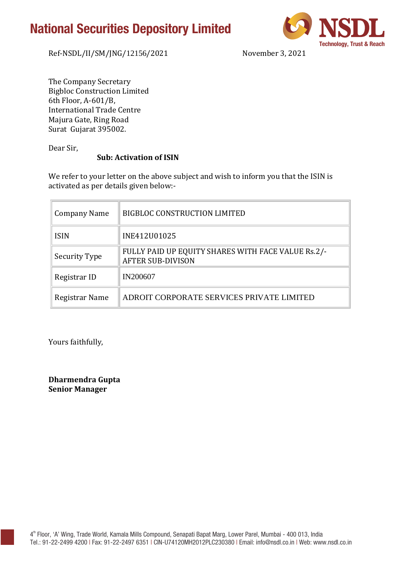## **National Securities Depository Limited**



Ref-NSDL/II/SM/JNG/12156/2021 November 3, 2021

The Company Secretary Bigbloc Construction Limited 6th Floor, A-601/B, International Trade Centre Majura Gate, Ring Road Surat Gujarat 395002.

Dear Sir,

### **Sub: Activation of ISIN**

We refer to your letter on the above subject and wish to inform you that the ISIN is activated as per details given below:-

| Company Name   | <b>BIGBLOC CONSTRUCTION LIMITED</b>                                            |
|----------------|--------------------------------------------------------------------------------|
| <b>ISIN</b>    | INE412U01025                                                                   |
| Security Type  | FULLY PAID UP EQUITY SHARES WITH FACE VALUE Rs.2/-<br><b>AFTER SUB-DIVISON</b> |
| Registrar ID   | <b>IN200607</b>                                                                |
| Registrar Name | ADROIT CORPORATE SERVICES PRIVATE LIMITED                                      |

Yours faithfully,

**Dharmendra Gupta Senior Manager**